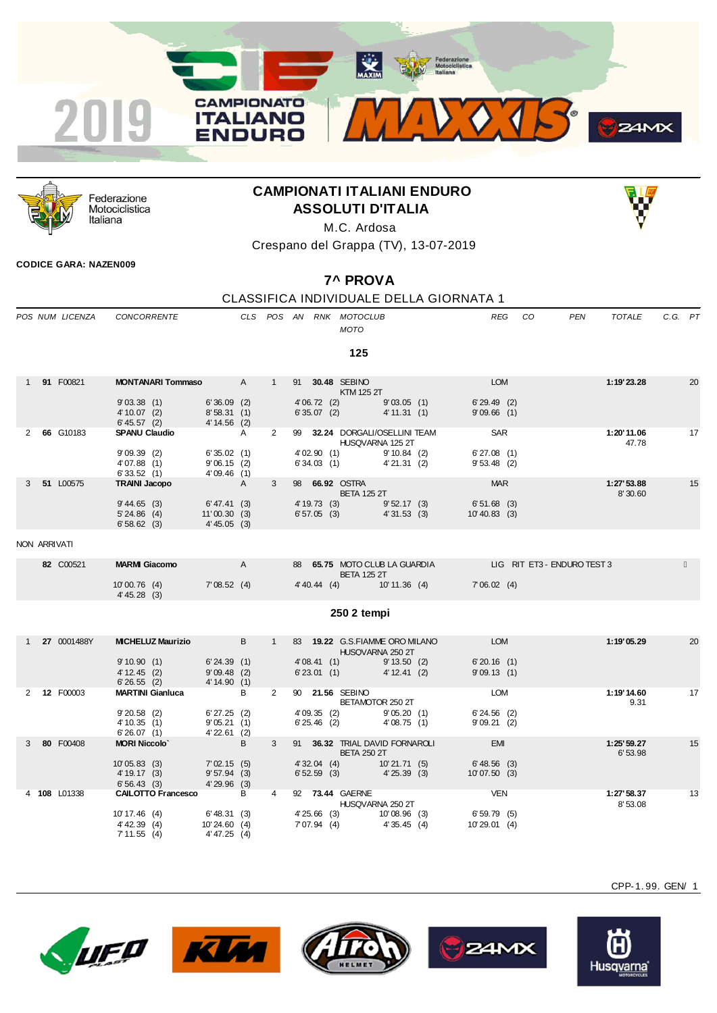



Federazione Motociclistica Italiana

# **CAMPIONATI ITALIANI ENDURO ASSOLUTI D'ITALIA**



Crespano del Grappa (TV), 13-07-2019

### **CODICE GARA: NAZEN009**

# **7^ PROVA**

## CLASSIFICA INDIVIDUALE DELLA GIORNATA 1

|   | POS NUM LICENZA | <b>CONCORRENTE</b>                             |                                               |              |                |                             | CLS POS AN RNK MOTOCLUB<br><b>MOTO</b>                                          | <b>REG</b>                     | CO | <b>PEN</b> | <b>TOTALE</b>          | C.G. PT |    |
|---|-----------------|------------------------------------------------|-----------------------------------------------|--------------|----------------|-----------------------------|---------------------------------------------------------------------------------|--------------------------------|----|------------|------------------------|---------|----|
|   |                 |                                                |                                               |              |                |                             | 125                                                                             |                                |    |            |                        |         |    |
|   | 1 91 F00821     | <b>MONTANARI Tommaso</b> A                     |                                               |              | 1              |                             | 91 30.48 SEBINO<br>KTM 125 2T                                                   | <b>LOM</b>                     |    |            | 1:19'23.28             |         | 20 |
|   |                 | 9'03.38(1)<br>$4' 10.07$ (2)<br>$6' 45.57$ (2) | $6'36.09$ (2)<br>8'58.31(1)<br>$4' 14.56$ (2) |              |                | 4'06.72(2)<br>6'35.07(2)    | 9'03.05(1)<br>4' 11.31 (1)                                                      | 6'29.49(2)<br>$9'09.66$ (1)    |    |            |                        |         |    |
|   | 2 66 G10183     | <b>SPANU Claudio</b>                           | A                                             |              | $\overline{2}$ |                             | 99 32.24 DORGALI/OSELLINI TEAM<br>HUSQVARNA 125 2T                              | <b>SAR</b>                     |    |            | 1:20'11.06<br>47.78    |         | 17 |
|   |                 | 9'09.39(2)<br>4'07.88(1)<br>6'33.52(1)         | 6'35.02(1)<br>9'06.15(2)<br>4'09.46(1)        |              |                | 4'02.90(1)<br>6'34.03(1)    | 9'10.84(2)<br>4'21.31(2)                                                        | 6'27.08(1)<br>$9'53.48$ (2)    |    |            |                        |         |    |
|   | 51 L00575       | <b>TRAINI Jacopo</b>                           | A                                             |              | 3              |                             | 98 66.92 OSTRA<br><b>BETA 125 2T</b>                                            | <b>MAR</b>                     |    |            | 1:27'53.88<br>8'30.60  |         | 15 |
|   |                 | 9' 44.65 (3)<br>$5' 24.86$ (4)<br>6'58.62(3)   | 6' 47.41 (3)<br>11'00.30(3)<br>4'45.05(3)     |              |                | 6'57.05(3)                  | 4' 19.73 (3) 9' 52.17 (3)<br>4'31.53(3)                                         | 6'51.68 (3)<br>$10' 40.83$ (3) |    |            |                        |         |    |
|   | NON ARRIVATI    |                                                |                                               |              |                |                             |                                                                                 |                                |    |            |                        |         |    |
|   | 82 C00521       | <b>MARMI Giacomo</b>                           |                                               | $\mathsf{A}$ |                |                             | 88 65.75 MOTO CLUB LA GUARDIA LIG RIT ET3 - ENDURO TEST 3<br><b>BETA 125 2T</b> |                                |    |            |                        |         |    |
|   |                 | 10'00.76(4)<br>$4' 45.28$ (3)                  | 7'08.52 (4)                                   |              |                |                             | 4' 40.44 (4) 10' 11.36 (4)                                                      | 7'06.02(4)                     |    |            |                        |         |    |
|   |                 |                                                |                                               |              |                |                             | 250 2 tempi                                                                     |                                |    |            |                        |         |    |
|   | 1 27 0001488Y   | <b>MICHELUZ Maurizio</b>                       |                                               | B            | 1              |                             | 83 19.22 G.S.FIAMME ORO MILANO<br>HUSQVARNA 250 2T                              | <b>EXAMPLE DESCRIPTION</b>     |    |            | 1:19'05.29             |         | 20 |
|   |                 | 9'10.90(1)<br>$4' 12.45$ (2)<br>6'26.55(2)     | 6'24.39(1)<br>9'09.48(2)<br>4' 14.90 (1)      |              |                | 4'08.41(1)<br>6'23.01(1)    | 9' 13.50 (2)<br>$4' 12.41$ (2)                                                  | 6'20.16(1)<br>9'09.13(1)       |    |            |                        |         |    |
|   | 2 12 F00003     | <b>MARTINI Gianluca</b>                        |                                               | B            | $2^{\circ}$    |                             | 90 21.56 SEBINO<br>BETAMOTOR 250 2T                                             | LOM                            |    |            | 1:19'14.60<br>9.31     |         | 17 |
|   |                 | $9'20.58$ (2)<br>4'10.35(1)<br>6'26.07(1)      | 6'27.25(2)<br>9'05.21(1)<br>$4'22.61$ (2)     |              |                | 4'09.35(2)<br>$6'25.46$ (2) | 9'05.20(1)<br>4'08.75(1)                                                        | $6'24.56$ (2)<br>9'09.21(2)    |    |            |                        |         |    |
| 3 | 80 F00408       | <b>MORI Niccolo'</b>                           |                                               | B            | 3              |                             | 91 36.32 TRIAL DAVID FORNAROLI<br><b>BETA 250 2T</b>                            | <b>EMI</b>                     |    |            | 1:25' 59.27<br>6'53.98 |         | 15 |
|   |                 | 10'05.83(3)<br>4' 19.17 (3)<br>6'56.43(3)      | 7'02.15(5)<br>$9'57.94$ (3)<br>$4'29.96$ (3)  |              |                | $4'32.04$ (4)<br>6'52.59(3) | 10'21.71(5)<br>4'25.39 (3)                                                      | 6'48.56(3)<br>10'07.50(3)      |    |            |                        |         |    |
|   | 4 108 L01338    | <b>CAILOTTO Francesco</b>                      |                                               | B            | 4              |                             | 92 73.44 GAERNE<br>HUSQVARNA 250 2T                                             | VEN                            |    |            | 1:27' 58.37<br>8'53.08 |         | 13 |
|   |                 | 10' 17.46 (4)<br>$4'$ 42.39 (4)<br>7'11.55(4)  | 6' 48.31 (3)<br>10'24.60(4)<br>4' 47.25 (4)   |              |                | 7' 07.94 (4)                | 4'25.66 (3) 10'08.96 (3)<br>4'35.45(4)                                          | 6'59.79(5)<br>10'29.01 (4)     |    |            |                        |         |    |









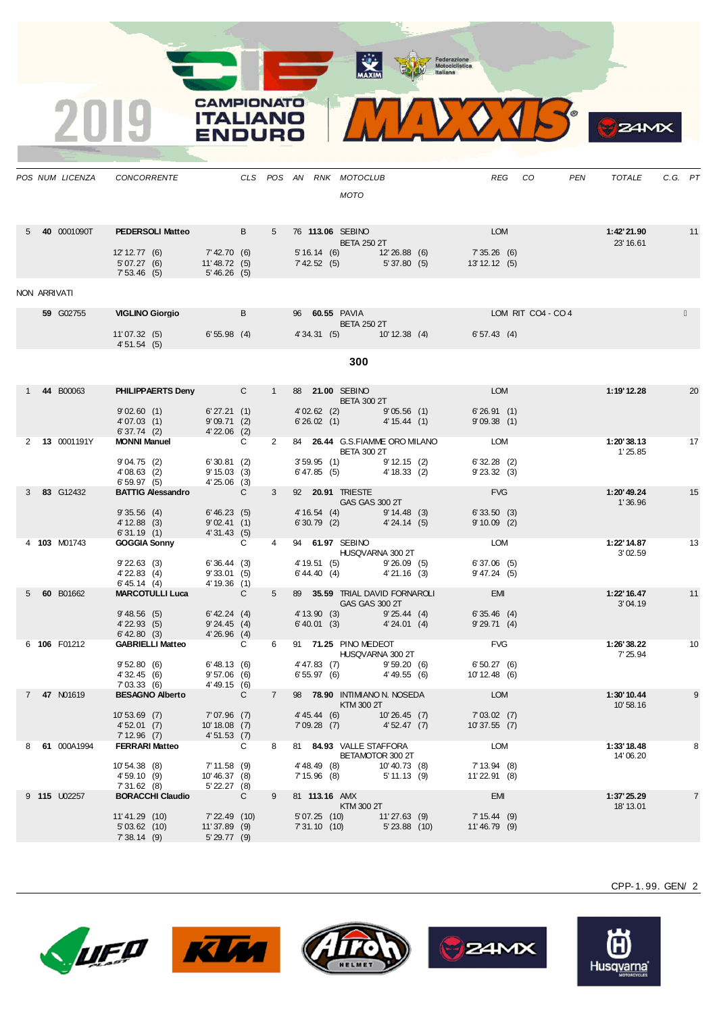**ALL AND REAL** 

CAMPIONATO **ITALIANO** 

VOURC



**UFO KU** 









CPP-1. 99. GEN/ 2

 $24MX$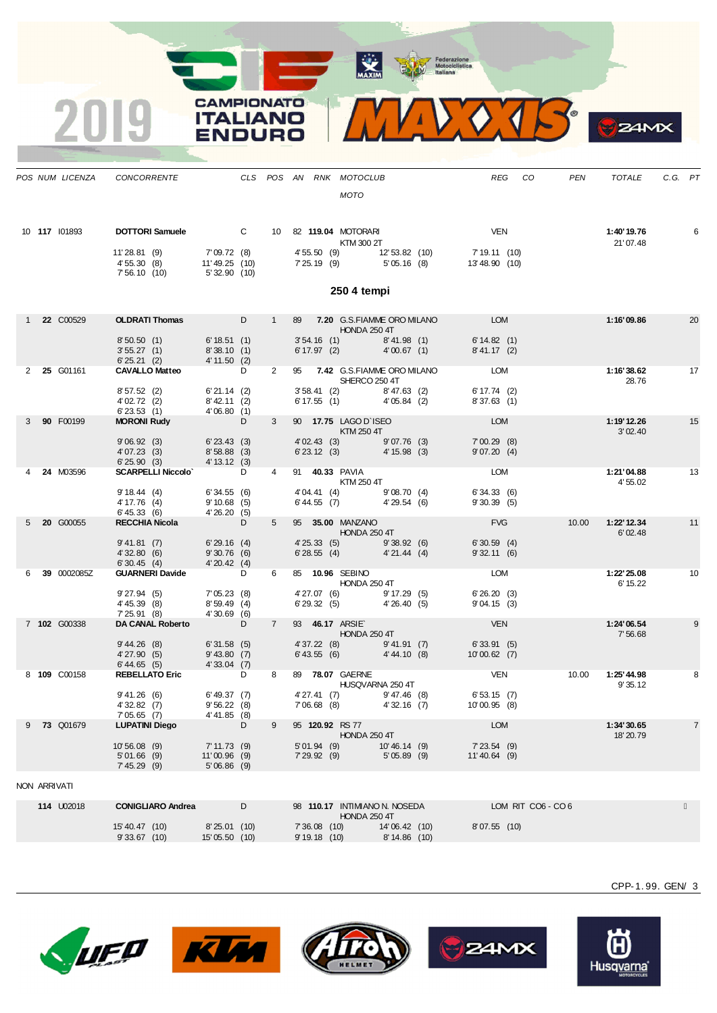**MAXIM** Federazione<br>
Motociclistica<br>
ttaliana

 $\bullet$ 

 $24MX$ 

2019

**CAMPIONATO** 

**ITALIANO** 

**ENDURO** 

|    |              | POS NUM LICENZA    | <b>CONCORRENTE</b>                                       |                                                   |   |                | CLS POS AN RNK MOTOCLUB                                            |               | <b>REG</b>                                                                            | CO | PEN   | <b>TOTALE</b>                 | C.G. PT |                |
|----|--------------|--------------------|----------------------------------------------------------|---------------------------------------------------|---|----------------|--------------------------------------------------------------------|---------------|---------------------------------------------------------------------------------------|----|-------|-------------------------------|---------|----------------|
|    |              |                    |                                                          |                                                   |   |                | <b>MOTO</b>                                                        |               |                                                                                       |    |       |                               |         |                |
|    |              | 10 117 101893      | <b>DOTTORI Samuele</b> C 10 82 119.04 MOTORARI           |                                                   |   |                | <b>KTM 300 2T</b>                                                  |               | <b>VEN</b>                                                                            |    |       | 1:40'19.76<br>21'07.48        |         | 6              |
|    |              |                    | 11'28.81 (9)<br>4' 55.30 (8)<br>7'56.10(10)              | 7'09.72 (8)<br>11'49.25 (10)<br>5'32.90 (10)      |   |                |                                                                    |               | 4' 55.50 (9) 12' 53.82 (10) 7' 19.11 (10)<br>7' 25.19 (9) 5' 05.16 (8) 13' 48.90 (10) |    |       |                               |         |                |
|    |              |                    |                                                          |                                                   |   |                | 250 4 tempi                                                        |               |                                                                                       |    |       |                               |         |                |
|    |              | 1 <b>22</b> C00529 | <b>OLDRATI Thomas</b>                                    |                                                   | D |                |                                                                    | HONDA 250 4T  | 89 7.20 G.S.FIAMME ORO MILANO LOM                                                     |    |       | 1:16'09.86                    |         | 20             |
|    |              |                    | 8'50.50(1)<br>3'55.27(1)<br>$3'55.27$ (1)<br>6'25.21 (2) | 6' 18.51(1)<br>8'38.10(1)<br>$4' 11.50$ (2)       |   |                | 3' 54.16 (1) 8' 41.98 (1)<br>6' 17.97 (2) 4' 00.67 (1)             |               | 6' 14.82 (1)<br>8' 41.17 (2)                                                          |    |       |                               |         |                |
|    |              | 2 25 G01161        | <b>CAVALLO Matteo</b>                                    | <b>D</b>                                          |   | $\overline{2}$ |                                                                    | SHERCO 250 4T | 95 7.42 G.S.FIAMME ORO MILANO LOM                                                     |    |       | 1:16'38.62<br>28.76           |         | 17             |
|    |              |                    | 8'57.52 (2)<br>4' 02.72 (2)<br>6'23.53(1)                | $6' 21.14$ (2)<br>$8'$ 42.11 (2)<br>4'06.80(1)    |   |                | 3' 58.41 (2) 8' 47.63 (2)<br>6' 17.55 (1) 4' 05.84 (2)             |               | 6' 17.74 (2)<br>8'37.63(1)                                                            |    |       |                               |         |                |
| 3  |              | 90 F00199          | <b>MORONI Rudy</b>                                       | $\overline{D}$                                    |   | 3              | 90 17.75 LAGO D'ISEO<br>KTM 250 4T                                 |               | LOM                                                                                   |    |       | 1:19'12.26<br>3'02.40         |         | 15             |
|    |              |                    | 9'06.92(3)<br>4'07.23(3)<br>6'25.90(3)                   | $6'$ 23.43 $(3)$<br>$8'58.88$ (3)<br>4' 13.12 (3) |   |                | 4'02.43 (3) 9'07.76 (3)<br>6'23.12 (3) 4'15.98 (3)                 |               | 7'00.29(8)<br>9'07.20(4)                                                              |    |       |                               |         |                |
|    |              | <b>24 M03596</b>   | SCARPELLI Niccolo' D<br>9'18.44(4)                       | 6'34.55(6)                                        |   |                | 91 40.33 PAVIA<br>$\frac{70.00 \text{ FANIA}}{KTM 250 4T}$         |               | LOM<br>6'34.33(6)                                                                     |    |       | 1:21'04.88<br>4'55.02         |         | 13             |
|    |              |                    | 4' 17.76 (4)<br>6' 45.33(6)                              | $9'10.68$ (5)<br>4'26.20(5)                       |   |                | 4'04.41 (4) 9'08.70 (4)<br>6'44.55 (7) 4'29.54 (6)                 |               | 9'30.39(5)                                                                            |    |       |                               |         |                |
|    |              | 5 <b>20</b> G00055 | <b>RECCHIA Nicola</b><br>9'41.81(7)                      | $\overline{D}$<br>6'29.16(4)                      |   | 5              | 95 <b>35.00 MANZANO</b><br>HONDA 250 4T                            |               | <b>FVG</b><br>6'30.59(4)                                                              |    | 10.00 | 1:22' 12.34<br>6'02.48        |         | 11             |
|    |              |                    | 4'32.80(6)<br>6'30.45(4)                                 | 9'30.76(6)<br>4'20.42(4)                          |   |                | 4' 25.33 (5) 9' 38.92 (6)<br>6' 28.55 (4) 4' 21.44 (4)             |               | 9'32.11(6)                                                                            |    |       |                               |         |                |
| 6. |              | 39 0002085Z        | <b>GUARNERI Davide</b><br>9'27.94(5)                     | <b>D</b><br>7'05.23(8)                            |   | 6              | 85 10.96 SEBINO                                                    |               | LOM<br>6'26.20(3)                                                                     |    |       | 1:22'25.08<br>6' 15.22        |         | 10             |
|    |              |                    | 4' 45.39 (8)<br>7'25.91(8)                               | 8'59.49(4)<br>$4'30.69$ (6)                       |   |                | 4' 27.07 (6) 9' 17.29 (5)<br>6' 29.32 (5) 4' 26.40 (5)             |               | 9'04.15(3)                                                                            |    |       |                               |         |                |
|    |              | 7 102 G00338       | DA CANAL Roberto D<br>9'44.26(8)                         | 6'31.58(5)                                        |   | $7^{\circ}$    | 93  46.17  ARSIE<br><b>HONDA 250 4T</b><br>4'37.22 (8) 9'41.91 (7) |               | <b>VEN</b><br>6'33.91(5)                                                              |    |       | 1:24'06.54<br>7'56.68         |         | 9              |
|    |              |                    | 4'27.90(5)<br>6' 44.65 (5)                               | 9' 43.80 (7)<br>$4'33.04$ (7)                     |   |                | $6'$ 43.55 (6) $4'$ 44.10 (8)                                      |               | $10'00.62$ (7)                                                                        |    |       |                               |         |                |
|    |              | 8 109 C00158       | REBELLATO Eric D<br>9'41.26(6)                           | 6' 49.37 (7)                                      |   | 8              | 89 78.07 GAERNE<br>HUSQVARNA 250 4T<br>4'27.41 (7) 9'47.46 (8)     |               | <b>VEN</b><br>6'53.15(7)                                                              |    |       | 10.00  1:25' 44.98<br>9'35.12 |         |                |
|    |              |                    | 4'32.82(7)<br>7'05.65(7)                                 | 9'56.22(8)<br>4'41.85 (8)                         |   |                | $7'06.68$ (8) $4'32.16$ (7)                                        |               | 10'00.95 (8)                                                                          |    |       |                               |         |                |
|    |              | 9 73 Q01679        | <b>LUPATINI Diego</b><br>10'56.08 (9)                    | $\Box$<br>$7' 11.73$ (9)                          |   | 9              | 95 120.92 RS 77<br><b>HONDA 250 4T</b>                             |               | <b>EXAMPLE DESCRIPTION</b><br>7' 23.54 (9)                                            |    |       | 1:34'30.65<br>18'20.79        |         | $\overline{7}$ |
|    |              |                    | $5'01.66$ (9)<br>7'45.29(9)                              | 11'00.96 (9)<br>5'06.86 (9)                       |   |                | 5' 01.94 (9) 10' 46.14 (9)<br>7' 29.92 (9) 5' 05.89 (9)            |               | $11'40.64$ (9)                                                                        |    |       |                               |         |                |
|    | NON ARRIVATI |                    |                                                          |                                                   |   |                |                                                                    |               |                                                                                       |    |       |                               |         |                |

**114** U02018 **CONIGLIARO Andrea** D 98 **110.17** INTIMIANO N. NOSEDA LOM RIT CO6 - CO 6 HONDA 250 4T 15' 40.47 (10) 8' 25.01 (10) 7' 36.08 (10) 14' 06.42 (10) 8' 07.55 (10) 9' 33.67 (10) 15' 05.50 (10) 9' 19.18 (10) 8' 14.86 (10)









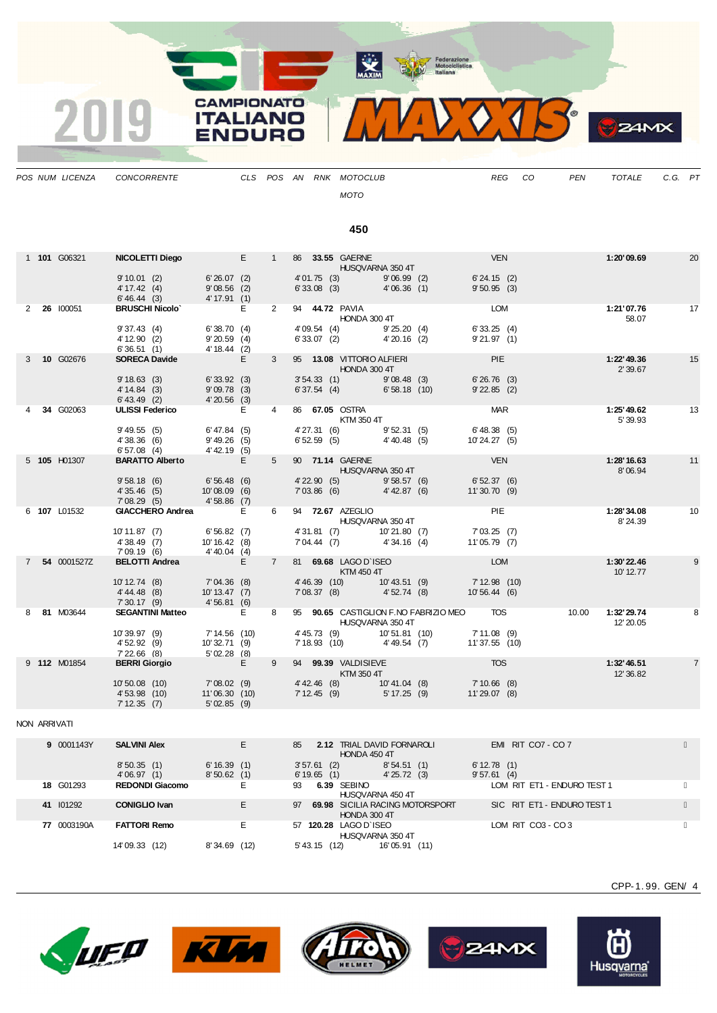

| POS NUM LICENZA | CONCORRENTE |  |  | CLS POS AN RNK MOTOCLUB | REG | CO | <b>PEN</b> | TOTALE | C.G. PT |  |
|-----------------|-------------|--|--|-------------------------|-----|----|------------|--------|---------|--|
|                 |             |  |  | <b>MOTO</b>             |     |    |            |        |         |  |
|                 |             |  |  | 450                     |     |    |            |        |         |  |

1 **101** G06321 **NICOLETTI Diego** E 1 86 **33.55** GAERNE VEN **1:20'09.69** 20 HUSQVARNA 350 4T

|  |             | $0.40.44$ (3)         | $41.91$ (1)    |   |                                           |             |    |
|--|-------------|-----------------------|----------------|---|-------------------------------------------|-------------|----|
|  | 2 26 100051 | <b>BRUSCHI Nicolo</b> |                | ົ | <b>LOM</b><br>94<br>44.72 PAVIA           | 1:21'07.76  | 17 |
|  |             |                       |                |   | HONDA 300 4T                              | 58.07       |    |
|  |             | 9'37.43(4)            | 6'38.70(4)     |   | 6'33.25(4)<br>9'25.20(4)<br>4'09.54(4)    |             |    |
|  |             | 4' 12.90 (2)          | 9'20.59(4)     |   | 9'21.97(1)<br>6'33.07(2)<br>$4'20.16$ (2) |             |    |
|  |             | 6'36.51(1)            | $4' 18.44$ (2) |   |                                           |             |    |
|  | 3 10 G02676 | <b>SORECA Davide</b>  |                |   | PIE<br>13.08 VITTORIO ALFIERI<br>95       | 1:22' 49.36 | 15 |
|  |             |                       |                |   | HONDA 300 4T                              | 2'39.67     |    |
|  |             | 9'18.63(3)            | 6'33.92(3)     |   | 3'54.33(1)<br>6'26.76(3)<br>9'08.48(3)    |             |    |

9' 10.01 (2) 6' 26.07 (2) 4' 01.75 (3) 9' 06.99 (2) 6' 24.15 (2) 4' 17.42 (4) 9' 08.56 (2) 6' 33.08 (3) 4' 06.36 (1) 9' 50.95 (3)

9' 10.01 (2) 6' 26.07 (2)<br>
4' 17.42 (4) 9' 08.56 (2)<br>
6' 46.44 (3) 4' 17.91 (1)

|             |              | 6'36.51(1)             |                         | $4' 18.44$ (2)  |    |                |                |                                                           |               |                |       |                          |                |
|-------------|--------------|------------------------|-------------------------|-----------------|----|----------------|----------------|-----------------------------------------------------------|---------------|----------------|-------|--------------------------|----------------|
| 3           | 10 G02676    | <b>SORECA Davide</b>   |                         |                 | E. | $\mathbf{3}$   |                | 95 13.08 VITTORIO ALFIERI<br>HONDA 300 4T                 |               | <b>PIE</b>     |       | 1:22' 49.36<br>2'39.67   | 15             |
|             |              | 9'18.63(3)             |                         | 6'33.92(3)      |    |                | 3'54.33(1)     |                                                           | 9'08.48(3)    | 6'26.76(3)     |       |                          |                |
|             |              | 4' 14.84 (3)           |                         | 9'09.78(3)      |    |                | 6'37.54(4)     |                                                           | 6'58.18(10)   | 9'22.85(2)     |       |                          |                |
|             |              | $6' 43.49$ (2)         |                         | $4'20.56$ (3)   |    |                |                |                                                           |               |                |       |                          |                |
|             | 34 G02063    | <b>ULISSI Federico</b> |                         |                 | E. | $\overline{4}$ |                | 86 67.05 OSTRA<br>KTM 350 4T                              |               | <b>MAR</b>     |       | 1:25' 49.62<br>5'39.93   | 13             |
|             |              | 9' 49.55 (5)           |                         | 6' 47.84(5)     |    |                | 4'27.31(6)     |                                                           | 9'52.31(5)    | 6' 48.38(5)    |       |                          |                |
|             |              | 4'38.36(6)             |                         | 9' 49.26 (5)    |    |                | 6'52.59(5)     |                                                           | 4'40.48 (5)   | 10'24.27 (5)   |       |                          |                |
|             |              | 6'57.08(4)             |                         | $4' 42.19$ (5)  |    |                |                |                                                           |               |                |       |                          |                |
|             | 5 105 H01307 | <b>BARATTO Alberto</b> |                         |                 | E  | 5 <sup>5</sup> |                | 90 71.14 GAERNE<br>HUSQVARNA 350 4T                       |               | <b>VEN</b>     |       | 1:28'16.63<br>8'06.94    | 11             |
|             |              | 9'58.18(6)             |                         | 6'56.48(6)      |    |                | $4'$ 22.90 (5) |                                                           | 9'58.57(6)    | 6'52.37(6)     |       |                          |                |
|             |              | 4'35.46(5)             |                         | $10'08.09$ (6)  |    |                | 7'03.86(6)     | <b>Contract Contract</b>                                  | 4' 42.87 (6)  | 11'30.70(9)    |       |                          |                |
|             |              | 7'08.29(5)             |                         | $4'58.86$ (7)   |    |                |                |                                                           |               |                |       |                          |                |
|             | 6 107 L01532 |                        | <b>GIACCHERO Andrea</b> |                 | E  | 6              |                | 94 72.67 AZEGLIO<br>HUSQVARNA 350 4T                      |               | PIE            |       | 1:28'34.08<br>8'24.39    | 10             |
|             |              | 10' 11.87 (7)          |                         | 6'56.82(7)      |    |                | 4'31.81 (7)    |                                                           | 10'21.80 (7)  | 7'03.25(7)     |       |                          |                |
|             |              | 4'38.49(7)             |                         | 10' 16.42 (8)   |    |                | 7'04.44 (7)    |                                                           | 4'34.16(4)    | 11'05.79 (7)   |       |                          |                |
|             |              | 7'09.19 (6)            |                         | 4'40.04(4)      |    |                |                |                                                           |               |                |       |                          |                |
| $7^{\circ}$ | 54 0001527Z  | <b>BELOTTI Andrea</b>  |                         |                 | E. | $7^{\circ}$    |                | 81 69.68 LAGO D'ISEO<br>KTM 450 4T                        |               | <b>LOM</b>     |       | 1:30'22.46<br>10' 12.77  | 9              |
|             |              | $10' 12.74$ (8)        |                         | 7'04.36 (8)     |    |                | 4' 46.39 (10)  |                                                           | 10'43.51 (9)  | 7'12.98(10)    |       |                          |                |
|             |              | $4' 44.48$ (8)         |                         | $10' 13.47$ (7) |    |                | 7'08.37(8)     |                                                           | 4'52.74(8)    | 10'56.44 (6)   |       |                          |                |
|             |              | 7'30.17(9)             |                         | 4'56.81(6)      |    |                |                |                                                           |               |                |       |                          |                |
|             | 81 M03644    |                        | <b>SEGANTINI Matteo</b> |                 | Е  | 8              |                | 95 90.65 CASTIGLION F.NO FABRIZIO MEO<br>HUSQVARNA 350 4T |               | <b>TOS</b>     | 10.00 | 1:32' 29.74<br>12' 20.05 | 8              |
|             |              | 10'39.97 (9)           |                         | 7' 14.56 (10)   |    |                |                | 4' 45.73 (9)                                              | 10'51.81 (10) | 7'11.08(9)     |       |                          |                |
|             |              | 4'52.92(9)             |                         | 10'32.71 (9)    |    |                |                | 7' 18.93 (10) 4' 49.54 (7)                                |               | 11'37.55 (10)  |       |                          |                |
|             |              | $7'22.66$ (8)          |                         | 5'02.28(8)      |    |                |                |                                                           |               |                |       |                          |                |
|             | 9 112 M01854 | <b>BERRI Giorgio</b>   |                         |                 | E. | 9              |                | 94 99.39 VALDISIEVE<br>KTM 350 4T                         |               | <b>TOS</b>     |       | 1:32' 46.51<br>12' 36.82 | $\overline{7}$ |
|             |              | 10'50.08 (10)          |                         | 7'08.02(9)      |    |                | $4' 42.46$ (8) |                                                           | 10'41.04 (8)  | $7'10.66$ (8)  |       |                          |                |
|             |              | 4'53.98(10)            |                         | 11'06.30(10)    |    |                | 7'12.45(9)     |                                                           | 5' 17.25 (9)  | $11'29.07$ (8) |       |                          |                |
|             |              | 7'12.35(7)             |                         | 5'02.85(9)      |    |                |                |                                                           |               |                |       |                          |                |

## NON ARRIVATI

| 9 0001143Y       | <b>SALVINI Alex</b>    |                 | <b>2.12 TRIAL DAVID FORNAROLI</b><br>85<br>HONDA 450 4T | EMIRIT CO7 - CO7            |
|------------------|------------------------|-----------------|---------------------------------------------------------|-----------------------------|
|                  | 8'50.35(1)             | 6'16.39(1)      | 8'54.51(1)<br>$3'57.61$ (2)                             | 6'12.78(1)                  |
|                  | 4'06.97(1)             | 8'50.62(1)      | 6'19.65(1)<br>4'25.72(3)                                | 9'57.61(4)                  |
| <b>18 G01293</b> | <b>REDONDI Giacomo</b> |                 | 6.39 SEBINO<br>93<br>HUSQVARNA 450 4T                   | LOM RIT ET1 - ENDURO TEST 1 |
| 41 101292        | <b>CONIGLIO Ivan</b>   |                 | 69.98 SICILIA RACING MOTORSPORT<br>97<br>HONDA 300 4T   | SIC RIT ET1 - ENDURO TEST 1 |
| 77 0003190A      | <b>FATTORI Remo</b>    |                 | 57 120.28 LAGO D'ISEO<br>HUSQVARNA 350 4T               | LOM RIT CO3 - CO3           |
|                  | 14'09.33 (12)          | 8'34.69<br>(12) | 16'05.91<br>5' 43.15<br>(11)<br>(12)                    |                             |









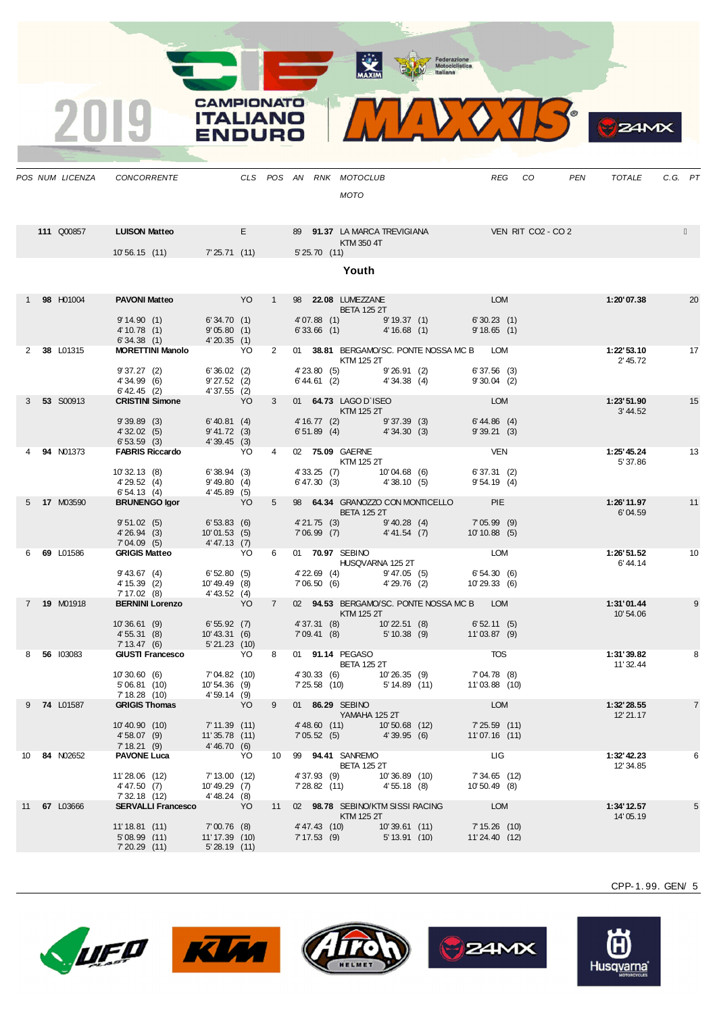MAXIM Rederazione

 $\epsilon$ 

**24MX** 

**CAMPIONATO**  $\mathcal{V}$ **ITALIANO ENDURO** 

|    | POS NUM LICENZA | CONCORRENTE                                     |                                   |                       |                 |                            | CLS POS AN RNK MOTOCLUB                                 |                                |                                                                                       |                                | REG CO | PEN | TOTALE                 | C.G. PT |                |
|----|-----------------|-------------------------------------------------|-----------------------------------|-----------------------|-----------------|----------------------------|---------------------------------------------------------|--------------------------------|---------------------------------------------------------------------------------------|--------------------------------|--------|-----|------------------------|---------|----------------|
|    |                 |                                                 |                                   |                       |                 |                            | <b>MOTO</b>                                             |                                |                                                                                       |                                |        |     |                        |         |                |
|    |                 |                                                 |                                   |                       |                 |                            |                                                         |                                |                                                                                       |                                |        |     |                        |         |                |
|    | 111 Q00857      | <b>LUISON Matteo</b>                            | <u> Tanzania (</u>                | Engineering the state |                 |                            |                                                         |                                | 89 91.37 LA MARCA TREVIGIANA VEN RIT CO2 - CO 2                                       |                                |        |     |                        |         |                |
|    |                 |                                                 |                                   |                       |                 |                            | KTM 350 4T                                              |                                |                                                                                       |                                |        |     |                        |         |                |
|    |                 | 10'56.15 (11) 7'25.71 (11)                      |                                   |                       |                 | 5' 25.70 (11)              |                                                         |                                |                                                                                       |                                |        |     |                        |         |                |
|    |                 |                                                 |                                   |                       |                 |                            | Youth                                                   |                                |                                                                                       |                                |        |     |                        |         |                |
|    |                 |                                                 |                                   |                       |                 |                            |                                                         |                                |                                                                                       |                                |        |     |                        |         |                |
|    | 1 98 H01004     | <b>PAVONI Matteo</b>                            | <b>Example 19 YO VO</b>           |                       | 1               |                            | 98 <b>22.08 LUMEZZANE</b>                               |                                |                                                                                       | LOM                            |        |     | 1:20'07.38             |         | 20             |
|    |                 | 9'14.90(1)                                      | 6'34.70 (1)                       |                       |                 |                            | <b>BETA 125 2T</b><br>$4'07.88$ (1)                     | 9'19.37(1)                     |                                                                                       | 6'30.23(1)                     |        |     |                        |         |                |
|    |                 | 4' 10.78 (1)                                    | 9'05.80(1)                        |                       |                 | 6'33.66(1)                 |                                                         | 4'16.68(1)                     |                                                                                       | 9'18.65(1)                     |        |     |                        |         |                |
|    | 2 38 L01315     | 6'34.38(1)<br><b>MORETTINI Manolo</b> YO        | 4'20.35(1)                        |                       | $2^{\circ}$     |                            |                                                         |                                | 01 38.81 BERGAMO/SC. PONTE NOSSA MC B LOM                                             |                                |        |     | 1:22'53.10             | 17      |                |
|    |                 |                                                 |                                   |                       |                 |                            | KTM 125 2T                                              |                                |                                                                                       |                                |        |     | 2' 45.72               |         |                |
|    |                 | 9'37.27(2)                                      | 6'36.02(2)                        |                       |                 | 4' 23.80 (5)               | $6'44.61$ (2) $4'34.38$ (4)                             | 9'26.91(2)                     |                                                                                       | 6'37.56(3)                     |        |     |                        |         |                |
|    |                 | 4'34.99 (6)<br>$6' 42.45$ (2)                   | 9'27.52(2)<br>4'37.55(2)          |                       |                 |                            |                                                         |                                |                                                                                       | $9'30.04$ (2)                  |        |     |                        |         |                |
|    | 3 53 S00913     | <b>CRISTINI Simone</b>                          | <b>Example 19</b>                 |                       | $\mathbf{3}$    |                            | 01 64.73 LAGO D'ISEO                                    |                                |                                                                                       | <b>LOM</b>                     |        |     | 1:23'51.90             |         | 15             |
|    |                 | 9'39.89(3)                                      | 6' 40.81 (4)                      |                       |                 |                            | KTM 125 2T                                              |                                |                                                                                       | 6' 44.86 (4)                   |        |     | 3' 44.52               |         |                |
|    |                 | 4' 32.02 (5)                                    | 9' 41.72 (3)                      |                       |                 |                            | 4' 16.77 (2) 9' 37.39 (3)<br>6' 51.89 (4) 4' 34.30 (3)  |                                |                                                                                       | 9'39.21(3)                     |        |     |                        |         |                |
|    | 4 94 N01373     | 6'53.59(3)<br><b>FABRIS Riccardo</b>            | 4'39.45(3)<br><b>Example 20</b>   |                       | 4               |                            | 02 75.09 GAERNE                                         |                                |                                                                                       | VEN                            |        |     | 1:25' 45.24            |         | 13             |
|    |                 |                                                 |                                   |                       |                 |                            | <b>KTM 125 2T</b>                                       |                                |                                                                                       |                                |        |     | 5'37.86                |         |                |
|    |                 | 10'32.13(8)<br>4'29.52(4)                       | 6'38.94(3)<br>9' 49.80 (4)        |                       |                 |                            | 4' 33.25 (7) 10' 04.68 (6)<br>6' 47.30 (3) 4' 38.10 (5) |                                |                                                                                       | 6' 37.31 (2)<br>9' 54.19 (4)   |        |     |                        |         |                |
|    |                 | 6'54.13(4)                                      | 4'45.89(5)                        |                       |                 |                            |                                                         |                                |                                                                                       |                                |        |     |                        |         |                |
|    | 5 17 M03590     | <b>BRUNENGO Igor</b>                            | <b>Example 19</b>                 |                       | 5               |                            |                                                         |                                | 98 64.34 GRANOZZO CON MONTICELLO PIE                                                  |                                |        |     | 1:26'11.97             |         | 11             |
|    |                 | 9'51.02(5)                                      | 6'53.83(6)                        |                       |                 |                            | <b>BETA 125 2T</b>                                      |                                |                                                                                       |                                |        |     | 6'04.59                |         |                |
|    |                 | 4'26.94 (3)                                     | 10'01.53 (5)                      |                       |                 |                            |                                                         |                                | 4' 21.75 (3) 9' 40.28 (4) 7' 05.99 (9)<br>7' 06.99 (7) 4' 41.54 (7) 10' 10.88 (5)     |                                |        |     |                        |         |                |
|    | 6 69 L01586     | $7'04.09(5)$ 4'47.13(7)<br><b>GRIGIS Matteo</b> | <b>Example 20</b>                 |                       | 6               |                            | 01 70.97 SEBINO                                         |                                |                                                                                       | <b>LOM</b>                     |        |     | 1:26'51.52             |         | 10             |
|    |                 |                                                 |                                   |                       |                 |                            | HUSQVARNA 125 2T                                        |                                |                                                                                       |                                |        |     | 6'44.14                |         |                |
|    |                 | 9' 43.67 (4)<br>4' 15.39 (2)                    | 6'52.80(5)<br>10'49.49 (8)        |                       |                 |                            | 4' 22.69 (4) 9' 47.05 (5)<br>7' 06.50 (6) 4' 29.76 (2)  |                                |                                                                                       | 6' 54.30 (6)<br>10' 29.33 (6)  |        |     |                        |         |                |
|    |                 | 7' 17.02 (8) 4' 43.52 (4)                       |                                   |                       |                 |                            |                                                         |                                |                                                                                       |                                |        |     |                        |         |                |
|    | 7 19 M01918     | <b>BERNINI Lorenzo</b>                          | <b>Example 19</b>                 |                       | $7^{\circ}$     |                            | KTM 125 2T                                              |                                | 02 94.53 BERGAMO/SC. PONTE NOSSA MC B LOM                                             |                                |        |     | 1:31'01.44<br>10'54.06 |         | 9              |
|    |                 | 10'36.61 (9)                                    | 6'55.92(7)                        |                       |                 |                            | 4' 37.31 (8) 10' 22.51 (8)<br>7' 09.41 (8) 5' 10.38 (9) |                                |                                                                                       | $6'52.11(5)$<br>$11'03.87(9)$  |        |     |                        |         |                |
|    |                 | 4' 55.31 (8)<br>7'13.47(6)                      | 10'43.31 (6)<br>5'21.23(10)       |                       |                 |                            |                                                         |                                |                                                                                       |                                |        |     |                        |         |                |
|    | 8 56 103083     | <b>GIUSTI Francesco</b>                         |                                   | YO                    | 8               |                            |                                                         |                                | 01 91.14 PEGASO TOS                                                                   |                                |        |     | 1:31'39.82             |         | 8              |
|    |                 | 10'30.60 (6)                                    |                                   |                       |                 |                            | <b>BETA 125 2T</b>                                      |                                |                                                                                       |                                |        |     | 11' 32.44              |         |                |
|    |                 | 5'06.81(10)                                     | 7' 04.82 (10)<br>10' 54.36 (9)    |                       |                 |                            |                                                         |                                | 4' 30.33 (6) 10' 26.35 (9) 7' 04.78 (8)<br>7' 25.58 (10) 5' 14.89 (11) 11' 03.88 (10) |                                |        |     |                        |         |                |
|    | 9 74 L01587     | 7' 18.28 (10)<br><b>GRIGIS Thomas</b>           | 4'59.14(9)<br><b>Example 19</b>   |                       | 9               |                            | 01 86.29 SEBINO                                         |                                |                                                                                       | <b>LOM</b>                     |        |     | 1:32' 28.55            |         | $\overline{7}$ |
|    |                 |                                                 |                                   |                       |                 |                            | <b>THE YAMAHA 125 2T</b>                                |                                |                                                                                       |                                |        |     | 12' 21.17              |         |                |
|    |                 | 10'40.90 (10)                                   | $7' 11.39$ (11)                   |                       |                 | 4' 48.60 (11)              |                                                         | 10'50.68 (12)                  |                                                                                       | 7' 25.59 (11)                  |        |     |                        |         |                |
|    |                 | 4' 58.07 (9)<br>7'18.21(9)                      | 11'35.78 (11)<br>4'46.70(6)       |                       |                 | 7'05.52(5)                 |                                                         | 4'39.95 (6)                    |                                                                                       | 11'07.16 (11)                  |        |     |                        |         |                |
| 10 | 84 N02652       | <b>PAVONE Luca</b>                              | <b>Example 20</b>                 |                       | 10 <sup>1</sup> |                            | 99 94.41 SANREMO                                        |                                |                                                                                       | LIG                            |        |     | 1:32' 42.23            |         | 6              |
|    |                 | 11'28.06 (12)                                   | 7' 13.00 (12)                     |                       |                 | 4' 37.93 (9)               | <b>BETA 125 2T</b>                                      | 10'36.89 (10)                  |                                                                                       | 7' 34.65 (12)                  |        |     | 12' 34.85              |         |                |
|    |                 | 4'47.50 (7)                                     | $10' 49.29$ (7)                   |                       |                 | 7' 28.82 (11)              |                                                         | 4'55.18 (8)                    |                                                                                       | 10'50.49 (8)                   |        |     |                        |         |                |
|    | 11 67 L03666    | 7' 32.18 (12)<br><b>SERVALLI Francesco</b>      | 4' 48.24 (8)<br><b>Example 19</b> |                       |                 |                            | 11 02 98.78 SEBINO/KTM SISSI RACING                     |                                |                                                                                       | LOM                            |        |     | 1:34'12.57             |         | 5              |
|    |                 |                                                 |                                   |                       |                 |                            | KTM 125 2T                                              |                                |                                                                                       |                                |        |     | 14'05.19               |         |                |
|    |                 | 11' 18.81 (11)<br>$5'08.99$ (11)                | 7'00.76 (8)<br>11' 17.39 (10)     |                       |                 | 4'47.43 (10)<br>7'17.53(9) |                                                         | 10'39.61 (11)<br>5' 13.91 (10) |                                                                                       | 7' 15.26 (10)<br>11'24.40 (12) |        |     |                        |         |                |
|    |                 | 7'20.29(11)                                     | 5'28.19(11)                       |                       |                 |                            |                                                         |                                |                                                                                       |                                |        |     |                        |         |                |



2019







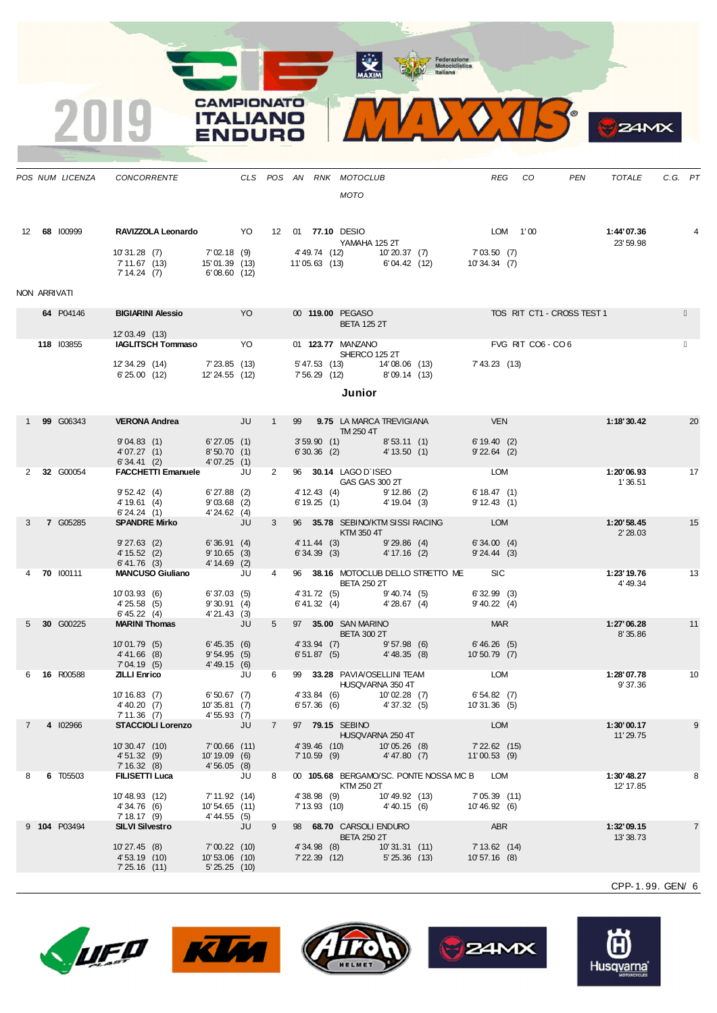MAXIM Rederazione

 $\bullet$ 

 $24MX$ 

 $\sqrt{4}$ 



**CAMPIONATO** 

**ITALIANO** 

**ENDURO** 

|              | POS NUM LICENZA | CONCORRENTE                                                                             |                                                |    |                |                               | CLS POS AN RNK MOTOCLUB<br><b>MOTO</b>                      |                                |                                                   |                                 | REG CO            | PEN                        | TOTALE                  | C.G. PT |    |
|--------------|-----------------|-----------------------------------------------------------------------------------------|------------------------------------------------|----|----------------|-------------------------------|-------------------------------------------------------------|--------------------------------|---------------------------------------------------|---------------------------------|-------------------|----------------------------|-------------------------|---------|----|
|              | 12 68 100999    | RAVIZZOLA Leonardo YO 12 01 77.10 DESIO<br>10'31.28 (7)<br>7'11.67 (13)<br>7' 14.24 (7) | 15' 01.39 (13)<br>6' 08.60 (12)                |    |                |                               | YAMAHA 125 2T<br>11'05.63 (13) 6'04.42 (12)                 |                                | 7'02.18 (9) 4'49.74 (12) 10'20.37 (7) 7'03.50 (7) | 10'34.34 (7)                    | LOM 1'00          |                            | 1:44'07.36<br>23' 59.98 |         |    |
| NON ARRIVATI |                 |                                                                                         |                                                |    |                |                               |                                                             |                                |                                                   |                                 |                   |                            |                         |         |    |
|              | 64 P04146       | <b>BIGIARINI Alessio</b>                                                                | <b>Example 1999</b>                            |    |                |                               | 00 119.00 PEGASO<br><b>BETA 125 2T</b>                      |                                |                                                   |                                 |                   | TOS RIT CT1 - CROSS TEST 1 |                         |         |    |
|              |                 | 12'03.49 (13)                                                                           |                                                |    |                |                               |                                                             |                                |                                                   |                                 |                   |                            |                         |         |    |
|              | 118 103855      | <b>IAGLITSCH Tommaso</b> YO                                                             |                                                |    |                |                               | 01 123.77 MANZANO<br>SHERCO 125 2T                          |                                |                                                   |                                 | FVG RIT CO6 - CO6 |                            |                         |         |    |
|              |                 | $12'34.29$ $(14)$ $7'23.85$ $(13)$<br>6'25.00 (12)                                      | 12' 24.55 (12)                                 |    |                |                               | 5' 47.53 (13) 14' 08.06 (13)<br>7' 56.29 (12) 8' 09.14 (13) |                                |                                                   | 7' 43.23 (13)                   |                   |                            |                         |         |    |
|              |                 |                                                                                         |                                                |    |                |                               | Junior                                                      |                                |                                                   |                                 |                   |                            |                         |         |    |
|              |                 |                                                                                         |                                                |    |                |                               |                                                             |                                |                                                   |                                 |                   |                            |                         |         |    |
|              | 1 99 G06343     | <b>VERONA Andrea</b> JU                                                                 |                                                |    | 1              |                               | TM 250 4T                                                   |                                | 99 9.75 LA MARCA TREVIGIANA VEN                   |                                 |                   |                            | 1:18'30.42              |         | 20 |
|              |                 | 9'04.83(1)<br>4'07.27(1)                                                                | 6'27.05(1)<br>8'50.70(1)                       |    |                |                               | $3'59.90$ (1) $8'53.11$ (1)<br>6' 30.36 (2) 4' 13.50 (1)    |                                |                                                   | 6'19.40(2)<br>$9'22.64$ (2)     |                   |                            |                         |         |    |
|              | 2 32 G00054     | 6'34.41(2)<br>FACCHETTI Emanuele JU                                                     | 4'07.25(1)                                     |    | $\overline{2}$ |                               |                                                             |                                |                                                   | LOM                             |                   |                            | 1:20'06.93              |         | 17 |
|              |                 | 9'52.42(4)                                                                              | $6'27.88$ (2)                                  |    |                |                               | 96 30.14 LAGO D'ISEO<br>GAS GAS 300 2T                      |                                |                                                   | 6'18.47(1)                      |                   |                            | 1'36.51                 |         |    |
|              |                 | 4' 19.61 (4)<br>6'24.24(1)                                                              | $9'03.68$ (2)<br>4'24.62(4)                    |    |                |                               | 4' 12.43 (4) 9' 12.86 (2)<br>6' 19.25 (1) 4' 19.04 (3)      |                                |                                                   | 9'12.43(1)                      |                   |                            |                         |         |    |
| 3            | <b>7 G05285</b> | <b>SPANDRE Mirko</b>                                                                    | <b>STATE STATE</b>                             |    | 3 <sup>1</sup> |                               | 96 35.78 SEBINO/KTM SISSI RACING<br>KTM 350 4T              |                                |                                                   | <b>LOM</b>                      |                   |                            | 1:20'58.45<br>2' 28.03  |         | 15 |
|              |                 | $9'27.63$ (2)<br>4' 15.52 (2)                                                           | 6'36.91(4)<br>9'10.65(3)                       |    |                | 4' 11.44 (3)<br>6'34.39(3)    |                                                             | 9'29.86(4)<br>4' 17.16 (2)     |                                                   | 6'34.00(4)<br>$9'24.44$ (3)     |                   |                            |                         |         |    |
|              | 4 70 100111     | $6' 41.76$ (3)<br><b>MANCUSO Giuliano</b> JU                                            | 4' 14.69 (2)                                   |    | $4 \quad$      |                               |                                                             |                                | 96 38.16 MOTOCLUB DELLO STRETTO ME SIC            |                                 |                   |                            | 1:23'19.76              |         | 13 |
|              |                 |                                                                                         |                                                |    |                |                               | <b>BETA 250 2T</b>                                          |                                |                                                   |                                 |                   |                            | 4' 49.34                |         |    |
|              |                 | 10'03.93(6)<br>4'25.58(5)<br>6' 45.22(4)                                                | 6'37.03(5)<br>9'30.91(4)<br>4'21.43(3)         |    |                |                               | 4'31.72 (5) 9'40.74 (5)<br>$6'41.32$ (4) $4'28.67$ (4)      |                                |                                                   | $6'32.99$ (3)<br>$9'40.22$ (4)  |                   |                            |                         |         |    |
|              | 5 30 G00225     | <b>MARINI Thomas</b>                                                                    | <b>ULL</b>                                     |    | $5^{\circ}$    |                               | 97 35.00 SAN MARINO<br><b>BETA 300 2T</b>                   |                                |                                                   | <b>MAR</b>                      |                   |                            | 1:27'06.28<br>8'35.86   |         | 11 |
|              |                 | 10'01.79(5)<br>$4' 41.66$ (8)                                                           | 6' 45.35(6)<br>9'54.95(5)                      |    |                | 6'51.87(5)                    | 4'33.94 (7) 9'57.98 (6)                                     | 4'48.35(8)                     |                                                   | 6'46.26 (5)<br>10' 50.79 (7)    |                   |                            |                         |         |    |
|              |                 | 7'04.19 (5)                                                                             | 4'49.15 (6)                                    |    |                |                               |                                                             |                                |                                                   |                                 |                   |                            |                         |         |    |
|              | 6 16 R00588     | <b>ZILLI Enrico</b>                                                                     |                                                | JU | 6              |                               | 99 33.28 PAVIA/OSELLINI TEAM<br>HUSQVARNA 350 4T            |                                |                                                   | LOM                             |                   |                            | 1:28'07.78<br>9'37.36   |         | 10 |
|              |                 | $10' 16.83$ (7)                                                                         | 6'50.67 (7)                                    |    |                |                               | 4' 33.84 (6) 10' 02.28 (7)<br>6' 57.36 (6) 4' 37.32 (5)     |                                |                                                   | $6'54.82$ (7)<br>10'31.36 (F)   |                   |                            |                         |         |    |
|              |                 | 4' 40.20 (7)<br>7'11.36(7)                                                              | 10'35.81 (7)<br>4'55.93 (7)                    |    |                |                               |                                                             |                                |                                                   | 10'31.36 (5)                    |                   |                            |                         |         |    |
|              | 4 102966        | <b>STACCIOLI Lorenzo</b>                                                                |                                                | JU | $\overline{7}$ |                               | 97 79.15 SEBINO                                             | HUSQVARNA 250 4T               |                                                   | <b>LOM</b>                      |                   |                            | 1:30'00.17<br>11' 29.75 |         | 9  |
|              |                 | 10'30.47 (10)<br>4'51.32(9)                                                             | $7'00.66$ (11)<br>10'19.09 (6)                 |    |                | 4'39.46 (10)<br>7'10.59(9)    |                                                             | $10'05.26$ (8)<br>4' 47.80 (7) |                                                   | 7' 22.62 (15)<br>$11'00.53$ (9) |                   |                            |                         |         |    |
|              |                 | 7'16.32(8)                                                                              | 4'56.05(8)                                     |    |                |                               |                                                             |                                |                                                   |                                 |                   |                            |                         |         |    |
| 8            | 6 T05503        | <b>FILISETTI Luca</b>                                                                   |                                                | JU | 8              |                               | KTM 250 2T                                                  |                                | 00 105.68 BERGAMO/SC. PONTE NOSSA MC B LOM        |                                 |                   |                            | 1:30'48.27<br>12' 17.85 |         | 8  |
|              |                 | 10' 48.93 (12)<br>4'34.76 (6)                                                           | 7' 11.92 (14)<br>10'54.65 (11)                 |    |                | 4'38.98(9)<br>7'13.93(10)     |                                                             | 10'49.92 (13)<br>4'40.15 (6)   |                                                   | 7'05.39(11)<br>10' 46.92 (6)    |                   |                            |                         |         |    |
|              | 9 104 P03494    | 7'18.17(9)<br><b>SILVI Silvestro</b>                                                    | $4' 44.55$ (5)                                 | JU | 9              |                               | 98 68.70 CARSOLI ENDURO                                     |                                |                                                   | ABR                             |                   |                            | 1:32'09.15              |         | 7  |
|              |                 |                                                                                         |                                                |    |                |                               | <b>BETA 250 2T</b>                                          |                                |                                                   |                                 |                   |                            | 13'38.73                |         |    |
|              |                 | 10'27.45(8)<br>4' 53.19 (10)<br>7'25.16(11)                                             | $7'00.22$ (10)<br>10'53.06 (10)<br>5'25.25(10) |    |                | 4'34.98 (8)<br>$7'22.39$ (12) |                                                             | 10'31.31(11)<br>$5'25.36$ (13) |                                                   | 7' 13.62 (14)<br>10'57.16 (8)   |                   |                            |                         |         |    |









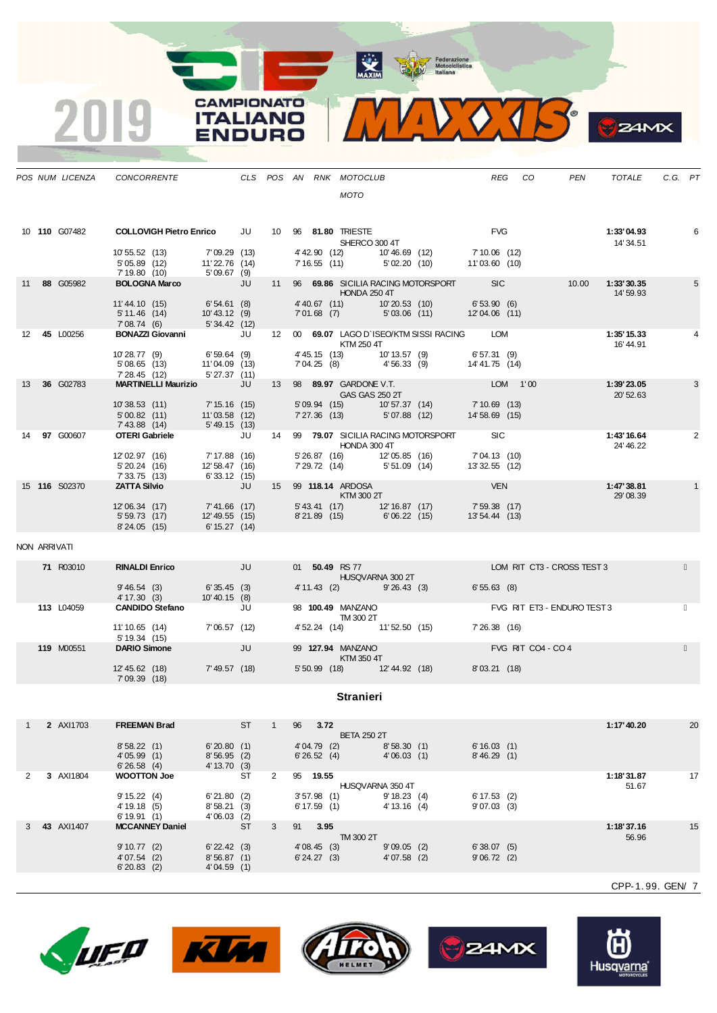MAXIM Representation

<u>and the second</u>



|              |                      | POS NUM LICENZA CONCORRENTE                                                            |                                                  |    |   |    |                           | CLS POS AN RNK MOTOCLUB                           |                                  |                                                                                                      | REG                              | CO | PEN                                                        | TOTALE                  | C.G. PT |    |
|--------------|----------------------|----------------------------------------------------------------------------------------|--------------------------------------------------|----|---|----|---------------------------|---------------------------------------------------|----------------------------------|------------------------------------------------------------------------------------------------------|----------------------------------|----|------------------------------------------------------------|-------------------------|---------|----|
|              |                      |                                                                                        |                                                  |    |   |    |                           | <b>MOTO</b>                                       |                                  |                                                                                                      |                                  |    |                                                            |                         |         |    |
|              | 10 110 G07482        | <b>COLLOVIGH Pietro Enrico</b> JU 10 96 81.80 TRIESTE                                  |                                                  |    |   |    |                           | SHERCO 300 4T                                     |                                  |                                                                                                      | <b>FVG</b>                       |    |                                                            | 1:33'04.93<br>14' 34.51 |         | 6  |
|              |                      | 10' 55.52 (13)<br>5' 05.89 (12)<br>7' 19.80 (10)                                       | 7'09.29(13)<br>$11'22.76$ $(14)$<br>5'09.67 (9)  |    |   |    |                           |                                                   |                                  | 4' 42.90 (12) 10' 46.69 (12) 7' 10.06 (12)<br>7' 16.55 (11) 5' 02.20 (10) 11' 03.60 (10)             |                                  |    |                                                            |                         |         |    |
|              | 11 88 G05982         | <b>BOLOGNA Marco</b>                                                                   | <b>STATE STATE</b>                               |    |   |    |                           | <b>HONDA 250 4T</b>                               |                                  |                                                                                                      |                                  |    | 11 96 69.86 SICILIA RACING MOTORSPORT SIC 10.00 1:33'30.35 | 14' 59.93               |         | 5  |
|              |                      | 11'44.10 (15) 6'54.61 (8)<br>5' 11.46 (14) 10' 43.12 (9)<br>7' 08.74 (6) 5' 34.42 (12) |                                                  |    |   |    |                           |                                                   |                                  | 4' 40.67 (11)    10' 20.53 (10)    6' 53.90 (6)<br>7' 01.68 (7)    5' 03.06 (11)    12' 04.06 (11)   |                                  |    |                                                            |                         |         |    |
|              | 12 45 L00256         | BONAZZI Giovanni JU                                                                    |                                                  |    |   |    |                           | KTM 250 4T                                        |                                  | 12 00 69.07 LAGO D`ISEO/KTM SISSI RACING LOM                                                         |                                  |    |                                                            | 1:35'15.33<br>16' 44.91 |         |    |
|              |                      | 10 28.77 (9) 6'59.64 (9)<br>5'08.65 (13) 11'04.09 (13)<br>7'28.45 (12) 5'27.37 (11)    |                                                  |    |   |    |                           |                                                   |                                  | 4' 45.15 (13) 10' 13.57 (9) 6' 57.31 (9)<br>7' 04.25 (8) 4' 56.33 (9) 14' 41.75 (14)                 |                                  |    |                                                            |                         |         |    |
| 13           | 36 G02783            | <b>MARTINELLI Maurizio</b> JU                                                          |                                                  |    |   |    |                           | 13 98 89.97 GARDONE V.T.<br>GAS GAS 250 2T        |                                  |                                                                                                      | <b>LOM</b> 1'00<br>7' 10.69 (13) |    |                                                            | 1:39'23.05<br>20'52.63  |         | 3  |
|              |                      | 10'38.53 (11) 7'15.16 (15)<br>5'00.82(11)<br>7'43.88 (14)                              | $11'03.58$ (12)<br>$5'49.15$ (13)                |    |   |    |                           | 5'09.94 (15) 10'57.37 (14)                        |                                  | 7'27.36 (13) 5'07.88 (12) 14'58.69 (15)                                                              |                                  |    |                                                            |                         |         |    |
|              | 14 97 G00607         | <b>OTERI Gabriele</b>                                                                  | <b>Solution Service State State State</b>        |    |   |    |                           | HONDA 300 4T                                      |                                  | 14 99 79.07 SICILIA RACING MOTORSPORT SIC                                                            |                                  |    |                                                            | 1:43'16.64<br>24' 46.22 |         | 2  |
|              |                      | 12'02.97 (16)<br>5' 20.24 (16)<br>7' 33.75 (13)                                        | 7' 17.88 (16)<br>12' 58.47 (16)<br>6' 33.12 (15) |    |   |    |                           |                                                   |                                  | 5' 26.87 (16)    12' 05.85 (16)    7' 04.13 (10)<br>7' 29.72 (14)    5' 51.09 (14)    13' 32.55 (12) |                                  |    |                                                            |                         |         |    |
|              | 15 <b>116</b> S02370 | <b>ZATTA Silvio</b>                                                                    | <b>Service State State</b><br>7'41.66 (17)       |    |   |    |                           | 15 99 <b>118.14</b> ARDOSA<br>KTM 300 2T          |                                  | 5' 43.41 (17) 12' 16.87 (17) 7' 59.38 (17)                                                           | <b>EXERCISE SERVICE</b>          |    |                                                            | 1:47'38.81<br>29' 08.39 |         |    |
|              |                      | 12'06.34 (17)<br>5'59.73(17)<br>8'24.05(15)                                            | 12' 49.55 (15)<br>6' 15.27(14)                   |    |   |    |                           | 8'21.89 (15) 6'06.22 (15)                         |                                  |                                                                                                      | 13'54.44(13)                     |    |                                                            |                         |         |    |
| NON ARRIVATI |                      |                                                                                        |                                                  |    |   |    |                           |                                                   |                                  |                                                                                                      |                                  |    |                                                            |                         |         |    |
|              | <b>71 R03010</b>     | <b>RINALDI Enrico</b>                                                                  | <b>All Services</b> and the UU                   |    |   |    |                           | 01 50.49 RS 77<br><b>HUSQVARNA 300 2T</b>         |                                  |                                                                                                      |                                  |    | LOM RIT CT3 - CROSS TEST 3                                 |                         |         |    |
|              | 113 L04059           | $9'46.54$ (3) 6'35.45 (3)<br>4' 17.30 (3)<br>CANDIDO Stefano JU                        | $10' 40.15$ (8)                                  |    |   |    |                           | 4' 11.43 (2) 9' 26.43 (3)<br>98 100.49 MANZANO    |                                  | <u> Karl III ya k</u>                                                                                | 6'55.63(8)                       |    | FVG RIT ET3 - ENDURO TEST 3                                |                         |         |    |
|              |                      | 11'10.65 (14)                                                                          | 7'06.57(12)                                      |    |   |    |                           | <b>TM 300 2T</b>                                  |                                  | 4' 52.24 (14) 11' 52.50 (15) 7' 26.38 (16)                                                           |                                  |    |                                                            |                         |         |    |
|              | 119 M00551           | 5' 19.34 (15)<br><b>DARIO Simone</b>                                                   | <b>STATE STATE STATE</b>                         |    |   |    |                           | 99 127.94 MANZANO<br><b>Example 18 KTM 350 4T</b> |                                  |                                                                                                      |                                  |    | FVG RIT CO4 - CO 4                                         |                         |         |    |
|              |                      | 12' 45.62 (18)<br>7'09.39(18)                                                          | 7'49.57 (18)                                     |    |   |    |                           |                                                   |                                  | 5' 50.99 (18) 12' 44.92 (18) 8' 03.21 (18)                                                           |                                  |    |                                                            |                         |         |    |
|              |                      |                                                                                        |                                                  |    |   |    |                           | <b>Stranieri</b>                                  |                                  |                                                                                                      |                                  |    |                                                            |                         |         |    |
| $\mathbf{1}$ | 2 AXI1703            | <b>FREEMAN Brad</b>                                                                    |                                                  | ST | 1 | 96 | 3.72                      | <b>BETA 250 2T</b>                                |                                  |                                                                                                      |                                  |    |                                                            | 1:17' 40.20             |         | 20 |
|              |                      | 8'58.22(1)<br>4'05.99(1)<br>6'26.58(4)                                                 | 6'20.80(1)<br>8'56.95(2)<br>4' 13.70 (3)         |    |   |    | 4'04.79 (2)<br>6'26.52(4) |                                                   | 8'58.30(1)<br>4'06.03(1)         |                                                                                                      | 6'16.03(1)<br>8' 46.29 (1)       |    |                                                            |                         |         |    |
| 2            | 3 AXI1804            | <b>WOOTTON Joe</b><br>9' 15.22 (4)                                                     | 6'21.80(2)                                       | ST | 2 |    | 95 19.55<br>$3'57.98$ (1) |                                                   | HUSQVARNA 350 4T<br>9' 18.23 (4) |                                                                                                      | $6' 17.53$ (2)                   |    |                                                            | 1:18'31.87<br>51.67     |         | 17 |
|              |                      | 4' 19.18 (5)<br>6'19.91(1)                                                             | 8'58.21(3)<br>$4'06.03$ (2)                      |    |   |    | $6' 17.59$ (1)            |                                                   | 4' 13.16 (4)                     |                                                                                                      | 9'07.03(3)                       |    |                                                            |                         |         |    |
|              | 3 43 AXI1407         | <b>MCCANNEY Daniel</b><br>9'10.77(2)                                                   | $6'$ 22.42 $(3)$                                 | ST | 3 |    | 91 3.95<br>4'08.45(3)     | TM 300 2T                                         | $9'09.05$ (2)                    |                                                                                                      | 6'38.07(5)                       |    |                                                            | 1:18'37.16<br>56.96     |         | 15 |
|              |                      | 4'07.54(2)<br>6'20.83(2)                                                               | 8'56.87(1)<br>4'04.59(1)                         |    |   |    | $6' 24.27$ (3)            |                                                   | $4'07.58$ (2)                    |                                                                                                      | 9'06.72(2)                       |    |                                                            |                         |         |    |
|              |                      |                                                                                        |                                                  |    |   |    |                           |                                                   |                                  |                                                                                                      |                                  |    |                                                            | CPP-1.99. GEN/ 7        |         |    |



2019